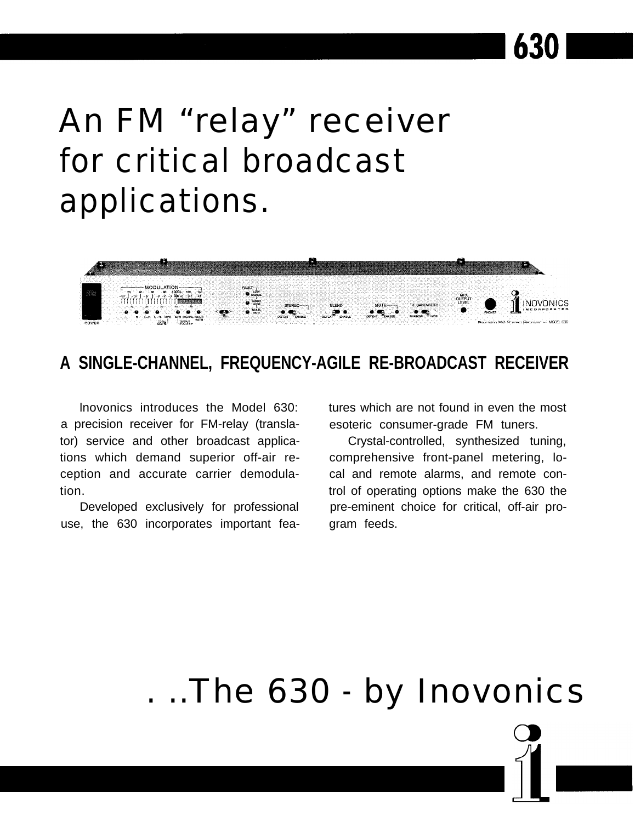# An FM "relay" receiver for critical broadcast applications.



### **A SINGLE-CHANNEL, FREQUENCY-AGILE RE-BROADCAST RECEIVER**

lnovonics introduces the Model 630: a precision receiver for FM-relay (translator) service and other broadcast applications which demand superior off-air reception and accurate carrier demodulation.

Developed exclusively for professional use, the 630 incorporates important features which are not found in even the most esoteric consumer-grade FM tuners.

630

Crystal-controlled, synthesized tuning, comprehensive front-panel metering, local and remote alarms, and remote control of operating options make the 630 the pre-eminent choice for critical, off-air program feeds.

## . ..The 630 - by Inovonics